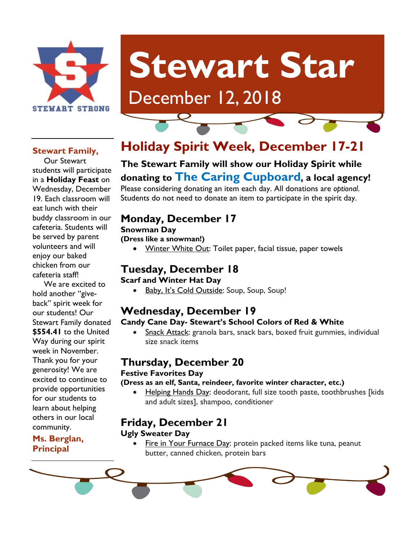

# **Stewart Star**

# December 12, 2018

#### **Stewart Family,**

 Our Stewart students will participate in a **Holiday Feast** on Wednesday, December 19. Each classroom will eat lunch with their buddy classroom in our cafeteria. Students will be served by parent volunteers and will enjoy our baked chicken from our cafeteria staff!

 We are excited to hold another "giveback" spirit week for our students! Our Stewart Family donated **\$554.41** to the United Way during our spirit week in November. Thank you for your generosity! We are excited to continue to provide opportunities for our students to learn about helping others in our local community.

**Ms. Berglan, Principal**

# **Holiday Spirit Week, December 17-21**

## **The Stewart Family will show our Holiday Spirit while donating to The Caring Cupboard, a local agency!**

Please considering donating an item each day. All donations are *optional*. Students do not need to donate an item to participate in the spirit day.

## **Monday, December 17**

#### **Snowman Day**

**(Dress like a snowman!)**

• Winter White Out: Toilet paper, facial tissue, paper towels

## **Tuesday, December 18**

**Scarf and Winter Hat Day**

Baby, It's Cold Outside: Soup, Soup, Soup!

# **Wednesday, December 19**

#### **Candy Cane Day- Stewart's School Colors of Red & White**

• Snack Attack: granola bars, snack bars, boxed fruit gummies, individual size snack items

### **Thursday, December 20**

#### **Festive Favorites Day**

#### **(Dress as an elf, Santa, reindeer, favorite winter character, etc.)**

• Helping Hands Day: deodorant, full size tooth paste, toothbrushes [kids and adult sizes], shampoo, conditioner

# **Friday, December 21**

#### **Ugly Sweater Day**

• Fire in Your Furnace Day: protein packed items like tuna, peanut butter, canned chicken, protein bars

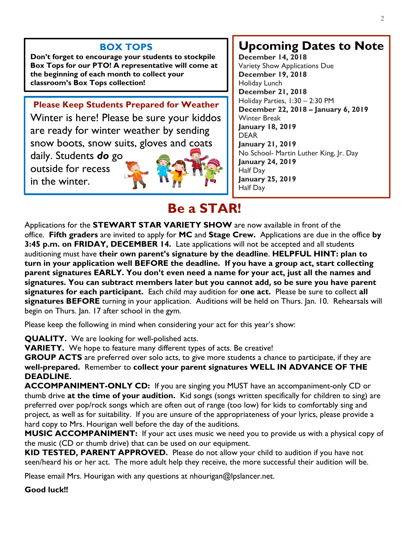#### **BOX TOPS**

**Don't forget to encourage your students to stockpile Box Tops for our PTO! A representative will come at the beginning of each month to collect your classroom's Box Tops collection!**

#### **Please Keep Students Prepared for Weather**

Winter is here! Please be sure your kiddos are ready for winter weather by sending snow boots, snow suits, gloves and coats

daily. Students *do* go outside for recess in the winter.



# **Upcoming Dates to Note**

**December 14, 2018** Variety Show Applications Due **December 19, 2018** Holiday Lunch **December 21, 2018** Holiday Parties, 1:30 – 2:30 PM **December 22, 2018 – January 6, 2019** Winter Break **January 18, 2019** DEAR **January 21, 2019** No School- Martin Luther King, Jr. Day **January 24, 2019** Half Day **January 25, 2019** Half Day

# **Be a STAR!**

Applications for the **STEWART STAR VARIETY SHOW** are now available in front of the office. **Fifth graders** are invited to apply for **MC** and **Stage Crew.** Applications are due in the office **by 3:45 p.m. on FRIDAY, DECEMBER 14.** Late applications will not be accepted and all students auditioning must have **their own parent's signature by the deadline**. **HELPFUL HINT: plan to turn in your application well BEFORE the deadline. If you have a group act, start collecting parent signatures EARLY. You don't even need a name for your act, just all the names and signatures. You can subtract members later but you cannot add, so be sure you have parent signatures for each participant.** Each child may audition for **one act.** Please be sure to collect **all signatures BEFORE** turning in your application. Auditions will be held on Thurs. Jan. 10. Rehearsals will begin on Thurs. Jan. 17 after school in the gym.

Please keep the following in mind when considering your act for this year's show:

**QUALITY.** We are looking for well-polished acts.

**VARIETY.** We hope to feature many different types of acts. Be creative!

**GROUP ACTS** are preferred over solo acts, to give more students a chance to participate, if they are **well-prepared.** Remember to **collect your parent signatures WELL IN ADVANCE OF THE DEADLINE.**

**ACCOMPANIMENT-ONLY CD:** If you are singing you MUST have an accompaniment-only CD or thumb drive **at the time of your audition.** Kid songs (songs written specifically for children to sing) are preferred over pop/rock songs which are often out of range (too low) for kids to comfortably sing and project, as well as for suitability. If you are unsure of the appropriateness of your lyrics, please provide a hard copy to Mrs. Hourigan well before the day of the auditions.

**MUSIC ACCOMPANIMENT:** If your act uses music we need you to provide us with a physical copy of the music (CD or thumb drive) that can be used on our equipment.

**KID TESTED, PARENT APPROVED.** Please do not allow your child to audition if you have not seen/heard his or her act. The more adult help they receive, the more successful their audition will be.

Please email Mrs. Hourigan with any questions at nhourigan@lpslancer.net.

#### **Good luck!!**